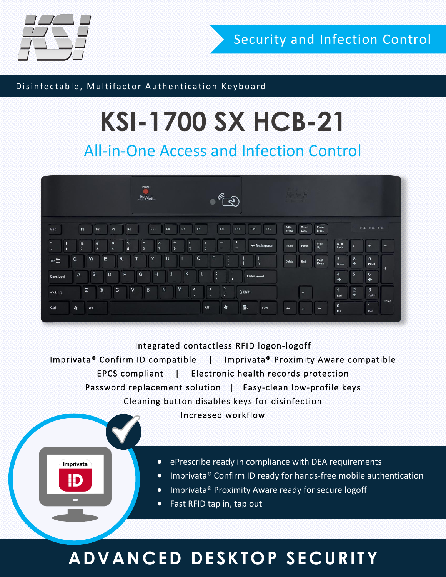

Imprivata

Đ

Security and Infection Control

#### Disinfectable, Multifactor Authentication Keyboard

# **KSI-1700 SX HCB-21**

### All-in-One Access and Infection Control



#### Integrated contactless RFID logon-logoff

Imprivata® Confirm ID compatible | Imprivata® Proximity Aware compatible EPCS compliant | Electronic health records protection Password replacement solution | Easy-clean low-profile keys Cleaning button disables keys for disinfection

Increased workflow

- ePrescribe ready in compliance with DEA requirements
- Imprivata® Confirm ID ready for hands-free mobile authentication
- **•** Imprivata® Proximity Aware ready for secure logoff
- Fast RFID tap in, tap out

### **ADVANCED DESKTOP SECURITY**